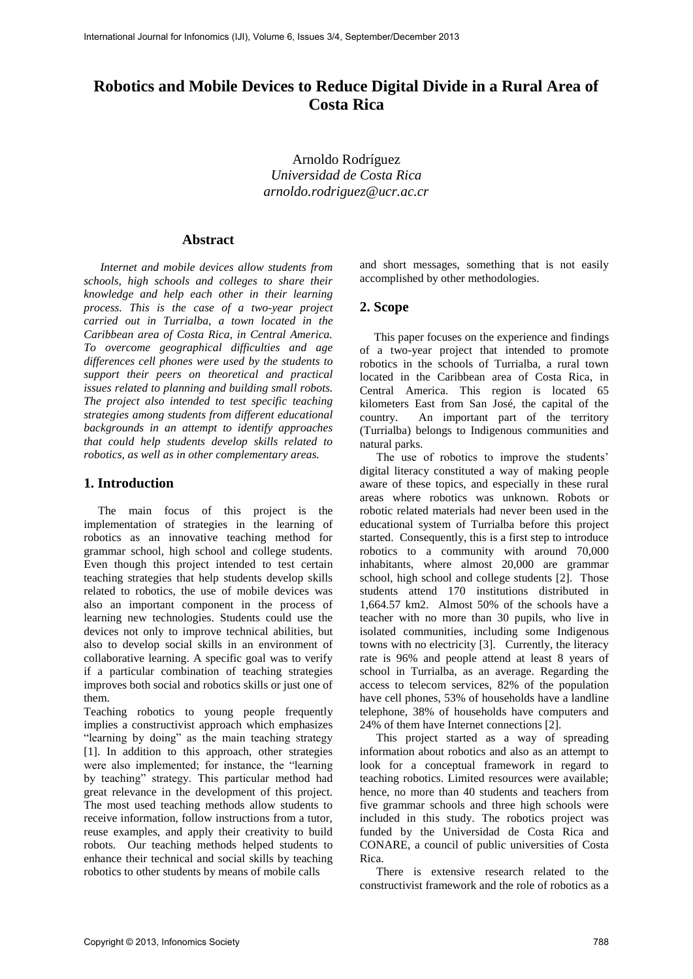# **Robotics and Mobile Devices to Reduce Digital Divide in a Rural Area of Costa Rica**

Arnoldo Rodríguez *Universidad de Costa Rica arnoldo.rodriguez@ucr.ac.cr* 

# **Abstract**

*Internet and mobile devices allow students from schools, high schools and colleges to share their knowledge and help each other in their learning process. This is the case of a two-year project carried out in Turrialba, a town located in the Caribbean area of Costa Rica, in Central America. To overcome geographical difficulties and age differences cell phones were used by the students to support their peers on theoretical and practical issues related to planning and building small robots. The project also intended to test specific teaching strategies among students from different educational backgrounds in an attempt to identify approaches that could help students develop skills related to robotics, as well as in other complementary areas.* 

# **1. Introduction**

The main focus of this project is the implementation of strategies in the learning of robotics as an innovative teaching method for grammar school, high school and college students. Even though this project intended to test certain teaching strategies that help students develop skills related to robotics, the use of mobile devices was also an important component in the process of learning new technologies. Students could use the devices not only to improve technical abilities, but also to develop social skills in an environment of collaborative learning. A specific goal was to verify if a particular combination of teaching strategies improves both social and robotics skills or just one of them.

Teaching robotics to young people frequently implies a constructivist approach which emphasizes "learning by doing" as the main teaching strategy [1]. In addition to this approach, other strategies were also implemented; for instance, the "learning by teaching" strategy. This particular method had great relevance in the development of this project. The most used teaching methods allow students to receive information, follow instructions from a tutor, reuse examples, and apply their creativity to build robots. Our teaching methods helped students to enhance their technical and social skills by teaching robotics to other students by means of mobile calls

and short messages, something that is not easily accomplished by other methodologies.

# **2. Scope**

This paper focuses on the experience and findings of a two-year project that intended to promote robotics in the schools of Turrialba, a rural town located in the Caribbean area of Costa Rica, in Central America. This region is located 65 kilometers East from San José, the capital of the country. An important part of the territory (Turrialba) belongs to Indigenous communities and natural parks.

The use of robotics to improve the students' digital literacy constituted a way of making people aware of these topics, and especially in these rural areas where robotics was unknown. Robots or robotic related materials had never been used in the educational system of Turrialba before this project started. Consequently, this is a first step to introduce robotics to a community with around 70,000 inhabitants, where almost 20,000 are grammar school, high school and college students [2]. Those students attend 170 institutions distributed in 1,664.57 km2. Almost 50% of the schools have a teacher with no more than 30 pupils, who live in isolated communities, including some Indigenous towns with no electricity [3]. Currently, the literacy rate is 96% and people attend at least 8 years of school in Turrialba, as an average. Regarding the access to telecom services, 82% of the population have cell phones, 53% of households have a landline telephone, 38% of households have computers and 24% of them have Internet connections [2].

This project started as a way of spreading information about robotics and also as an attempt to look for a conceptual framework in regard to teaching robotics. Limited resources were available; hence, no more than 40 students and teachers from five grammar schools and three high schools were included in this study. The robotics project was funded by the Universidad de Costa Rica and CONARE, a council of public universities of Costa Rica.

There is extensive research related to the constructivist framework and the role of robotics as a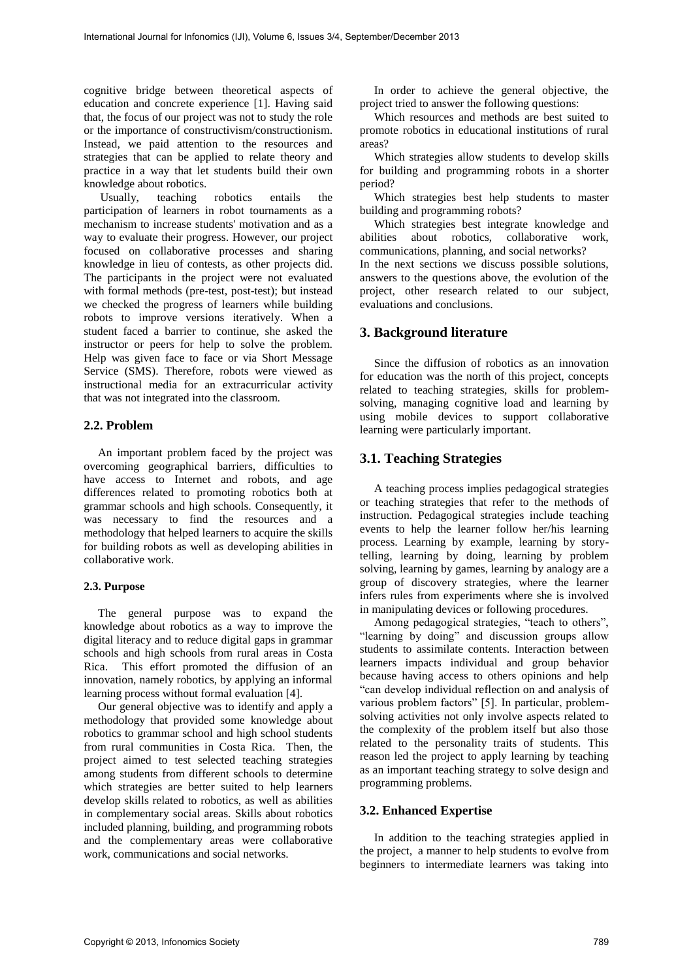cognitive bridge between theoretical aspects of education and concrete experience [1]. Having said that, the focus of our project was not to study the role or the importance of constructivism/constructionism. Instead, we paid attention to the resources and strategies that can be applied to relate theory and practice in a way that let students build their own knowledge about robotics.<br>Usually, teaching robotics

teaching robotics entails the participation of learners in robot tournaments as a mechanism to increase students' motivation and as a way to evaluate their progress. However, our project focused on collaborative processes and sharing knowledge in lieu of contests, as other projects did. The participants in the project were not evaluated with formal methods (pre-test, post-test); but instead we checked the progress of learners while building robots to improve versions iteratively. When a student faced a barrier to continue, she asked the instructor or peers for help to solve the problem. Help was given face to face or via Short Message Service (SMS). Therefore, robots were viewed as instructional media for an extracurricular activity that was not integrated into the classroom.

#### **2.2. Problem**

An important problem faced by the project was overcoming geographical barriers, difficulties to have access to Internet and robots, and age differences related to promoting robotics both at grammar schools and high schools. Consequently, it was necessary to find the resources and a methodology that helped learners to acquire the skills for building robots as well as developing abilities in collaborative work.

#### **2.3. Purpose**

The general purpose was to expand the knowledge about robotics as a way to improve the digital literacy and to reduce digital gaps in grammar schools and high schools from rural areas in Costa Rica. This effort promoted the diffusion of an innovation, namely robotics, by applying an informal learning process without formal evaluation [4].

Our general objective was to identify and apply a methodology that provided some knowledge about robotics to grammar school and high school students from rural communities in Costa Rica. Then, the project aimed to test selected teaching strategies among students from different schools to determine which strategies are better suited to help learners develop skills related to robotics, as well as abilities in complementary social areas. Skills about robotics included planning, building, and programming robots and the complementary areas were collaborative work, communications and social networks.

In order to achieve the general objective, the project tried to answer the following questions:

Which resources and methods are best suited to promote robotics in educational institutions of rural areas?

Which strategies allow students to develop skills for building and programming robots in a shorter period?

Which strategies best help students to master building and programming robots?

Which strategies best integrate knowledge and abilities about robotics, collaborative work, communications, planning, and social networks? In the next sections we discuss possible solutions, answers to the questions above, the evolution of the project, other research related to our subject, evaluations and conclusions.

## **3. Background literature**

Since the diffusion of robotics as an innovation for education was the north of this project, concepts related to teaching strategies, skills for problemsolving, managing cognitive load and learning by using mobile devices to support collaborative learning were particularly important.

#### **3.1. Teaching Strategies**

A teaching process implies pedagogical strategies or teaching strategies that refer to the methods of instruction. Pedagogical strategies include teaching events to help the learner follow her/his learning process. Learning by example, learning by storytelling, learning by doing, learning by problem solving, learning by games, learning by analogy are a group of discovery strategies, where the learner infers rules from experiments where she is involved in manipulating devices or following procedures.

Among pedagogical strategies, "teach to others", "learning by doing" and discussion groups allow students to assimilate contents. Interaction between learners impacts individual and group behavior because having access to others opinions and help "can develop individual reflection on and analysis of various problem factors" [5]. In particular, problemsolving activities not only involve aspects related to the complexity of the problem itself but also those related to the personality traits of students. This reason led the project to apply learning by teaching as an important teaching strategy to solve design and programming problems.

## **3.2. Enhanced Expertise**

In addition to the teaching strategies applied in the project, a manner to help students to evolve from beginners to intermediate learners was taking into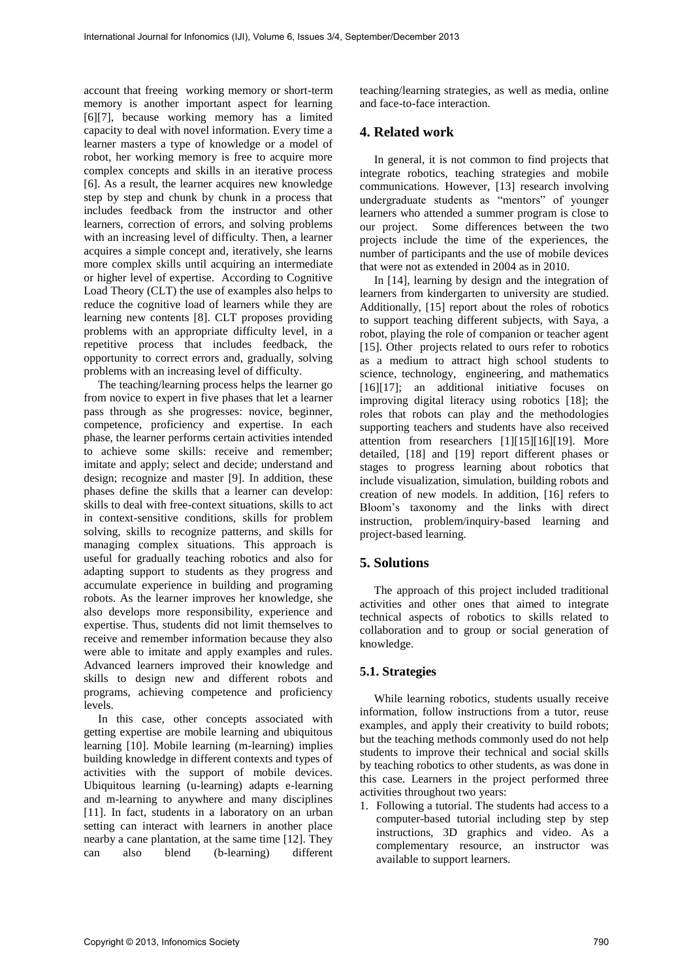account that freeing working memory or short-term memory is another important aspect for learning [6][7], because working memory has a limited capacity to deal with novel information. Every time a learner masters a type of knowledge or a model of robot, her working memory is free to acquire more complex concepts and skills in an iterative process [6]. As a result, the learner acquires new knowledge step by step and chunk by chunk in a process that includes feedback from the instructor and other learners, correction of errors, and solving problems with an increasing level of difficulty. Then, a learner acquires a simple concept and, iteratively, she learns more complex skills until acquiring an intermediate or higher level of expertise. According to Cognitive Load Theory (CLT) the use of examples also helps to reduce the cognitive load of learners while they are learning new contents [8]. CLT proposes providing problems with an appropriate difficulty level, in a repetitive process that includes feedback, the opportunity to correct errors and, gradually, solving problems with an increasing level of difficulty.

The teaching/learning process helps the learner go from novice to expert in five phases that let a learner pass through as she progresses: novice, beginner, competence, proficiency and expertise. In each phase, the learner performs certain activities intended to achieve some skills: receive and remember; imitate and apply; select and decide; understand and design; recognize and master [9]. In addition, these phases define the skills that a learner can develop: skills to deal with free-context situations, skills to act in context-sensitive conditions, skills for problem solving, skills to recognize patterns, and skills for managing complex situations. This approach is useful for gradually teaching robotics and also for adapting support to students as they progress and accumulate experience in building and programing robots. As the learner improves her knowledge, she also develops more responsibility, experience and expertise. Thus, students did not limit themselves to receive and remember information because they also were able to imitate and apply examples and rules. Advanced learners improved their knowledge and skills to design new and different robots and programs, achieving competence and proficiency levels.

In this case, other concepts associated with getting expertise are mobile learning and ubiquitous learning [10]. Mobile learning (m-learning) implies building knowledge in different contexts and types of activities with the support of mobile devices. Ubiquitous learning (u-learning) adapts e-learning and m-learning to anywhere and many disciplines [11]. In fact, students in a laboratory on an urban setting can interact with learners in another place nearby a cane plantation, at the same time [12]. They can also blend (b-learning) different

teaching/learning strategies, as well as media, online and face-to-face interaction.

# **4. Related work**

In general, it is not common to find projects that integrate robotics, teaching strategies and mobile communications. However, [13] research involving undergraduate students as "mentors" of younger learners who attended a summer program is close to our project. Some differences between the two projects include the time of the experiences, the number of participants and the use of mobile devices that were not as extended in 2004 as in 2010.

In [14], learning by design and the integration of learners from kindergarten to university are studied. Additionally, [15] report about the roles of robotics to support teaching different subjects, with Saya, a robot, playing the role of companion or teacher agent [15]. Other projects related to ours refer to robotics as a medium to attract high school students to science, technology, engineering, and mathematics [16][17]; an additional initiative focuses on improving digital literacy using robotics [18]; the roles that robots can play and the methodologies supporting teachers and students have also received attention from researchers [1][15][16][19]. More detailed, [18] and [19] report different phases or stages to progress learning about robotics that include visualization, simulation, building robots and creation of new models. In addition, [16] refers to Bloom's taxonomy and the links with direct instruction, problem/inquiry-based learning and project-based learning.

## **5. Solutions**

The approach of this project included traditional activities and other ones that aimed to integrate technical aspects of robotics to skills related to collaboration and to group or social generation of knowledge.

#### **5.1. Strategies**

While learning robotics, students usually receive information, follow instructions from a tutor, reuse examples, and apply their creativity to build robots; but the teaching methods commonly used do not help students to improve their technical and social skills by teaching robotics to other students, as was done in this case. Learners in the project performed three activities throughout two years:

1. Following a tutorial. The students had access to a computer-based tutorial including step by step instructions, 3D graphics and video. As a complementary resource, an instructor was available to support learners.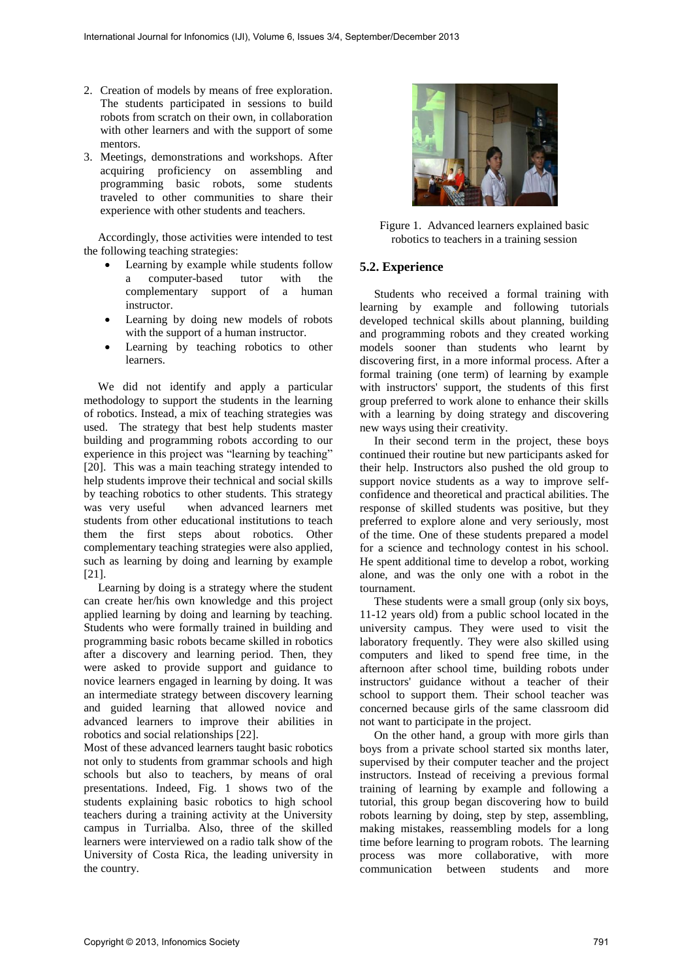- 2. Creation of models by means of free exploration. The students participated in sessions to build robots from scratch on their own, in collaboration with other learners and with the support of some mentors.
- 3. Meetings, demonstrations and workshops. After acquiring proficiency on assembling and programming basic robots, some students traveled to other communities to share their experience with other students and teachers.

Accordingly, those activities were intended to test the following teaching strategies:

- Learning by example while students follow a computer-based tutor with the complementary support of a human instructor.
- Learning by doing new models of robots with the support of a human instructor.
- Learning by teaching robotics to other learners.

We did not identify and apply a particular methodology to support the students in the learning of robotics. Instead, a mix of teaching strategies was used. The strategy that best help students master building and programming robots according to our experience in this project was "learning by teaching" [20]. This was a main teaching strategy intended to help students improve their technical and social skills by teaching robotics to other students. This strategy<br>was very useful when advanced learners met when advanced learners met students from other educational institutions to teach them the first steps about robotics. Other complementary teaching strategies were also applied, such as learning by doing and learning by example [21].

Learning by doing is a strategy where the student can create her/his own knowledge and this project applied learning by doing and learning by teaching. Students who were formally trained in building and programming basic robots became skilled in robotics after a discovery and learning period. Then, they were asked to provide support and guidance to novice learners engaged in learning by doing. It was an intermediate strategy between discovery learning and guided learning that allowed novice and advanced learners to improve their abilities in robotics and social relationships [22].

Most of these advanced learners taught basic robotics not only to students from grammar schools and high schools but also to teachers, by means of oral presentations. Indeed, Fig. 1 shows two of the students explaining basic robotics to high school teachers during a training activity at the University campus in Turrialba. Also, three of the skilled learners were interviewed on a radio talk show of the University of Costa Rica, the leading university in the country.



Figure 1. Advanced learners explained basic robotics to teachers in a training session

## **5.2. Experience**

Students who received a formal training with learning by example and following tutorials developed technical skills about planning, building and programming robots and they created working models sooner than students who learnt by discovering first, in a more informal process. After a formal training (one term) of learning by example with instructors' support, the students of this first group preferred to work alone to enhance their skills with a learning by doing strategy and discovering new ways using their creativity.

In their second term in the project, these boys continued their routine but new participants asked for their help. Instructors also pushed the old group to support novice students as a way to improve selfconfidence and theoretical and practical abilities. The response of skilled students was positive, but they preferred to explore alone and very seriously, most of the time. One of these students prepared a model for a science and technology contest in his school. He spent additional time to develop a robot, working alone, and was the only one with a robot in the tournament.

These students were a small group (only six boys, 11-12 years old) from a public school located in the university campus. They were used to visit the laboratory frequently. They were also skilled using computers and liked to spend free time, in the afternoon after school time, building robots under instructors' guidance without a teacher of their school to support them. Their school teacher was concerned because girls of the same classroom did not want to participate in the project.

On the other hand, a group with more girls than boys from a private school started six months later, supervised by their computer teacher and the project instructors. Instead of receiving a previous formal training of learning by example and following a tutorial, this group began discovering how to build robots learning by doing, step by step, assembling, making mistakes, reassembling models for a long time before learning to program robots. The learning process was more collaborative, with more communication between students and more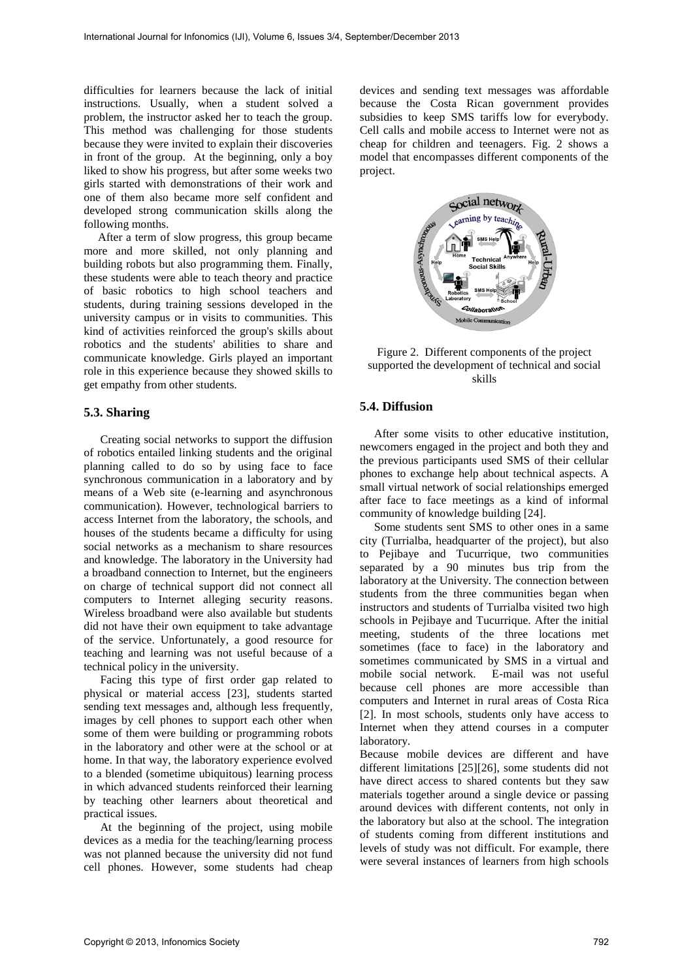difficulties for learners because the lack of initial instructions. Usually, when a student solved a problem, the instructor asked her to teach the group. This method was challenging for those students because they were invited to explain their discoveries in front of the group. At the beginning, only a boy liked to show his progress, but after some weeks two girls started with demonstrations of their work and one of them also became more self confident and developed strong communication skills along the following months.

After a term of slow progress, this group became more and more skilled, not only planning and building robots but also programming them. Finally, these students were able to teach theory and practice of basic robotics to high school teachers and students, during training sessions developed in the university campus or in visits to communities. This kind of activities reinforced the group's skills about robotics and the students' abilities to share and communicate knowledge. Girls played an important role in this experience because they showed skills to get empathy from other students.

## **5.3. Sharing**

Creating social networks to support the diffusion of robotics entailed linking students and the original planning called to do so by using face to face synchronous communication in a laboratory and by means of a Web site (e-learning and asynchronous communication). However, technological barriers to access Internet from the laboratory, the schools, and houses of the students became a difficulty for using social networks as a mechanism to share resources and knowledge. The laboratory in the University had a broadband connection to Internet, but the engineers on charge of technical support did not connect all computers to Internet alleging security reasons. Wireless broadband were also available but students did not have their own equipment to take advantage of the service. Unfortunately, a good resource for teaching and learning was not useful because of a technical policy in the university.

Facing this type of first order gap related to physical or material access [23], students started sending text messages and, although less frequently, images by cell phones to support each other when some of them were building or programming robots in the laboratory and other were at the school or at home. In that way, the laboratory experience evolved to a blended (sometime ubiquitous) learning process in which advanced students reinforced their learning by teaching other learners about theoretical and practical issues.

At the beginning of the project, using mobile devices as a media for the teaching/learning process was not planned because the university did not fund cell phones. However, some students had cheap

devices and sending text messages was affordable because the Costa Rican government provides subsidies to keep SMS tariffs low for everybody. Cell calls and mobile access to Internet were not as cheap for children and teenagers. Fig. 2 shows a model that encompasses different components of the project.





## **5.4. Diffusion**

After some visits to other educative institution, newcomers engaged in the project and both they and the previous participants used SMS of their cellular phones to exchange help about technical aspects. A small virtual network of social relationships emerged after face to face meetings as a kind of informal community of knowledge building [24].

Some students sent SMS to other ones in a same city (Turrialba, headquarter of the project), but also to Pejibaye and Tucurrique, two communities separated by a 90 minutes bus trip from the laboratory at the University. The connection between students from the three communities began when instructors and students of Turrialba visited two high schools in Pejibaye and Tucurrique. After the initial meeting, students of the three locations met sometimes (face to face) in the laboratory and sometimes communicated by SMS in a virtual and mobile social network. E-mail was not useful because cell phones are more accessible than computers and Internet in rural areas of Costa Rica [2]. In most schools, students only have access to Internet when they attend courses in a computer laboratory.

Because mobile devices are different and have different limitations [25][26], some students did not have direct access to shared contents but they saw materials together around a single device or passing around devices with different contents, not only in the laboratory but also at the school. The integration of students coming from different institutions and levels of study was not difficult. For example, there were several instances of learners from high schools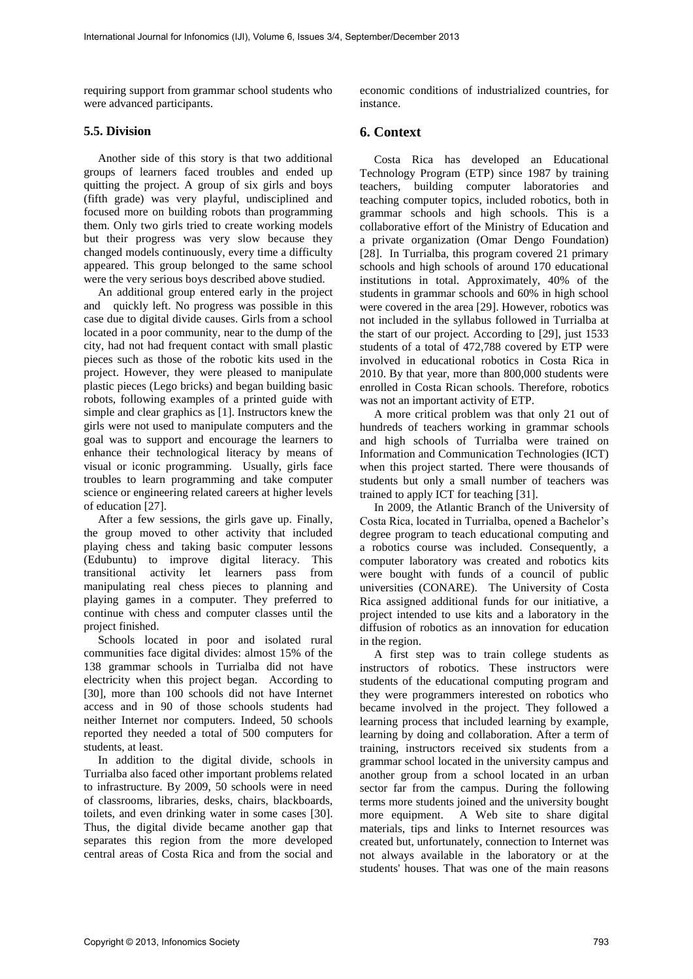requiring support from grammar school students who were advanced participants.

## **5.5. Division**

Another side of this story is that two additional groups of learners faced troubles and ended up quitting the project. A group of six girls and boys (fifth grade) was very playful, undisciplined and focused more on building robots than programming them. Only two girls tried to create working models but their progress was very slow because they changed models continuously, every time a difficulty appeared. This group belonged to the same school were the very serious boys described above studied.

An additional group entered early in the project and quickly left. No progress was possible in this case due to digital divide causes. Girls from a school located in a poor community, near to the dump of the city, had not had frequent contact with small plastic pieces such as those of the robotic kits used in the project. However, they were pleased to manipulate plastic pieces (Lego bricks) and began building basic robots, following examples of a printed guide with simple and clear graphics as [1]. Instructors knew the girls were not used to manipulate computers and the goal was to support and encourage the learners to enhance their technological literacy by means of visual or iconic programming. Usually, girls face troubles to learn programming and take computer science or engineering related careers at higher levels of education [27].

After a few sessions, the girls gave up. Finally, the group moved to other activity that included playing chess and taking basic computer lessons (Edubuntu) to improve digital literacy. This transitional activity let learners pass from manipulating real chess pieces to planning and playing games in a computer. They preferred to continue with chess and computer classes until the project finished.

Schools located in poor and isolated rural communities face digital divides: almost 15% of the 138 grammar schools in Turrialba did not have electricity when this project began. According to [30], more than 100 schools did not have Internet access and in 90 of those schools students had neither Internet nor computers. Indeed, 50 schools reported they needed a total of 500 computers for students, at least.

In addition to the digital divide, schools in Turrialba also faced other important problems related to infrastructure. By 2009, 50 schools were in need of classrooms, libraries, desks, chairs, blackboards, toilets, and even drinking water in some cases [30]. Thus, the digital divide became another gap that separates this region from the more developed central areas of Costa Rica and from the social and

economic conditions of industrialized countries, for instance.

# **6. Context**

Costa Rica has developed an Educational Technology Program (ETP) since 1987 by training teachers, building computer laboratories and teaching computer topics, included robotics, both in grammar schools and high schools. This is a collaborative effort of the Ministry of Education and a private organization (Omar Dengo Foundation) [28]. In Turrialba, this program covered 21 primary schools and high schools of around 170 educational institutions in total. Approximately, 40% of the students in grammar schools and 60% in high school were covered in the area [29]. However, robotics was not included in the syllabus followed in Turrialba at the start of our project. According to [29], just 1533 students of a total of 472,788 covered by ETP were involved in educational robotics in Costa Rica in 2010. By that year, more than 800,000 students were enrolled in Costa Rican schools. Therefore, robotics was not an important activity of ETP.

A more critical problem was that only 21 out of hundreds of teachers working in grammar schools and high schools of Turrialba were trained on Information and Communication Technologies (ICT) when this project started. There were thousands of students but only a small number of teachers was trained to apply ICT for teaching [31].

In 2009, the Atlantic Branch of the University of Costa Rica, located in Turrialba, opened a Bachelor's degree program to teach educational computing and a robotics course was included. Consequently, a computer laboratory was created and robotics kits were bought with funds of a council of public universities (CONARE). The University of Costa Rica assigned additional funds for our initiative, a project intended to use kits and a laboratory in the diffusion of robotics as an innovation for education in the region.

A first step was to train college students as instructors of robotics. These instructors were students of the educational computing program and they were programmers interested on robotics who became involved in the project. They followed a learning process that included learning by example, learning by doing and collaboration. After a term of training, instructors received six students from a grammar school located in the university campus and another group from a school located in an urban sector far from the campus. During the following terms more students joined and the university bought more equipment. A Web site to share digital materials, tips and links to Internet resources was created but, unfortunately, connection to Internet was not always available in the laboratory or at the students' houses. That was one of the main reasons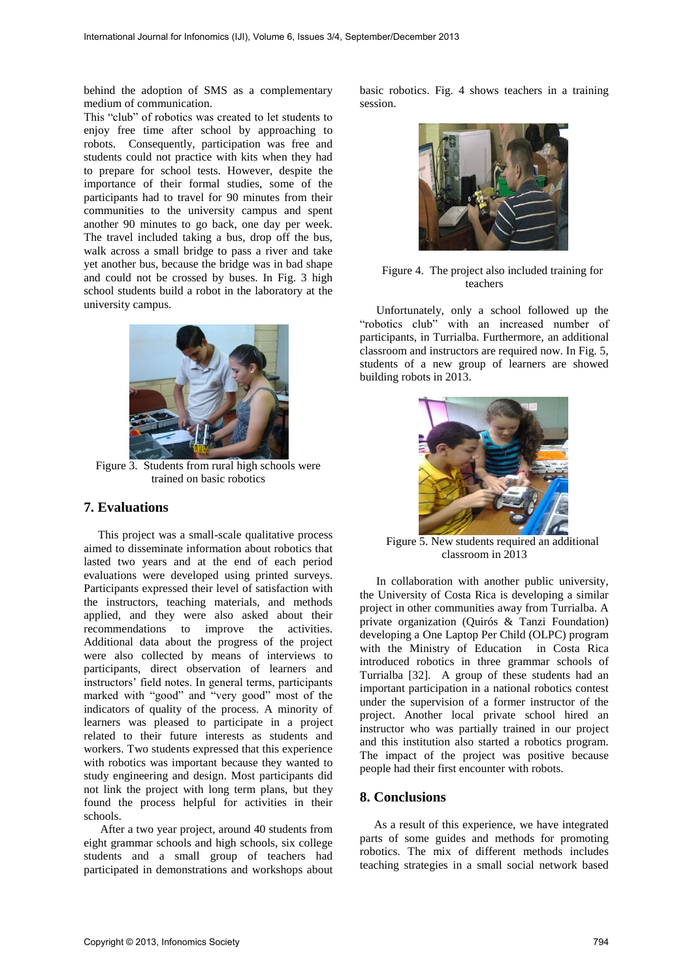behind the adoption of SMS as a complementary medium of communication.

This "club" of robotics was created to let students to enjoy free time after school by approaching to robots. Consequently, participation was free and students could not practice with kits when they had to prepare for school tests. However, despite the importance of their formal studies, some of the participants had to travel for 90 minutes from their communities to the university campus and spent another 90 minutes to go back, one day per week. The travel included taking a bus, drop off the bus, walk across a small bridge to pass a river and take yet another bus, because the bridge was in bad shape and could not be crossed by buses. In Fig. 3 high school students build a robot in the laboratory at the university campus.



Figure 3. Students from rural high schools were trained on basic robotics

# **7. Evaluations**

This project was a small-scale qualitative process aimed to disseminate information about robotics that lasted two years and at the end of each period evaluations were developed using printed surveys. Participants expressed their level of satisfaction with the instructors, teaching materials, and methods applied, and they were also asked about their recommendations to improve the activities. Additional data about the progress of the project were also collected by means of interviews to participants, direct observation of learners and instructors' field notes. In general terms, participants marked with "good" and "very good" most of the indicators of quality of the process. A minority of learners was pleased to participate in a project related to their future interests as students and workers. Two students expressed that this experience with robotics was important because they wanted to study engineering and design. Most participants did not link the project with long term plans, but they found the process helpful for activities in their schools.

After a two year project, around 40 students from eight grammar schools and high schools, six college students and a small group of teachers had participated in demonstrations and workshops about

basic robotics. Fig. 4 shows teachers in a training session.



Figure 4. The project also included training for teachers

Unfortunately, only a school followed up the "robotics club" with an increased number of participants, in Turrialba. Furthermore, an additional classroom and instructors are required now. In Fig. 5, students of a new group of learners are showed building robots in 2013.



Figure 5. New students required an additional classroom in 2013

In collaboration with another public university, the University of Costa Rica is developing a similar project in other communities away from Turrialba. A private organization (Quirós & Tanzi Foundation) developing a One Laptop Per Child (OLPC) program with the Ministry of Education in Costa Rica introduced robotics in three grammar schools of Turrialba [32]. A group of these students had an important participation in a national robotics contest under the supervision of a former instructor of the project. Another local private school hired an instructor who was partially trained in our project and this institution also started a robotics program. The impact of the project was positive because people had their first encounter with robots.

## **8. Conclusions**

As a result of this experience, we have integrated parts of some guides and methods for promoting robotics. The mix of different methods includes teaching strategies in a small social network based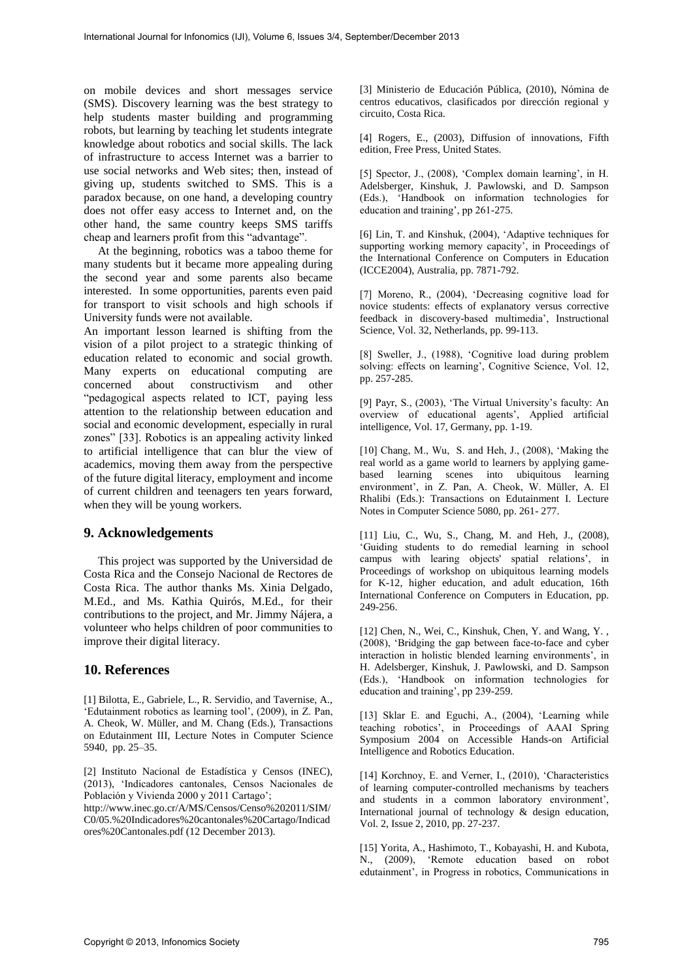on mobile devices and short messages service (SMS). Discovery learning was the best strategy to help students master building and programming robots, but learning by teaching let students integrate knowledge about robotics and social skills. The lack of infrastructure to access Internet was a barrier to use social networks and Web sites; then, instead of giving up, students switched to SMS. This is a paradox because, on one hand, a developing country does not offer easy access to Internet and, on the other hand, the same country keeps SMS tariffs cheap and learners profit from this "advantage".

At the beginning, robotics was a taboo theme for many students but it became more appealing during the second year and some parents also became interested. In some opportunities, parents even paid for transport to visit schools and high schools if University funds were not available.

An important lesson learned is shifting from the vision of a pilot project to a strategic thinking of education related to economic and social growth. Many experts on educational computing are concerned about constructivism and other "pedagogical aspects related to ICT, paying less attention to the relationship between education and social and economic development, especially in rural zones" [33]. Robotics is an appealing activity linked to artificial intelligence that can blur the view of academics, moving them away from the perspective of the future digital literacy, employment and income of current children and teenagers ten years forward, when they will be young workers.

# **9. Acknowledgements**

This project was supported by the Universidad de Costa Rica and the Consejo Nacional de Rectores de Costa Rica. The author thanks Ms. Xinia Delgado, M.Ed., and Ms. Kathia Quirós, M.Ed., for their contributions to the project, and Mr. Jimmy Nájera, a volunteer who helps children of poor communities to improve their digital literacy.

# **10. References**

[1] Bilotta, E., Gabriele, L., R. Servidio, and Tavernise, A., 'Edutainment robotics as learning tool', (2009), in Z. Pan, A. Cheok, W. Müller, and M. Chang (Eds.), Transactions on Edutainment III, Lecture Notes in Computer Science 5940, pp. 25–35.

[2] Instituto Nacional de Estadística y Censos (INEC), (2013), 'Indicadores cantonales, Censos Nacionales de Población y Vivienda 2000 y 2011 Cartago';

http://www.inec.go.cr/A/MS/Censos/Censo%202011/SIM/ C0/05.%20Indicadores%20cantonales%20Cartago/Indicad ores%20Cantonales.pdf (12 December 2013).

[3] Ministerio de Educación Pública, (2010), Nómina de centros educativos, clasificados por dirección regional y circuito, Costa Rica.

[4] Rogers, E., (2003), Diffusion of innovations, Fifth edition, Free Press, United States.

[5] Spector, J., (2008), 'Complex domain learning', in H. Adelsberger, Kinshuk, J. Pawlowski, and D. Sampson (Eds.), 'Handbook on information technologies for education and training', pp 261-275.

[6] Lin, T. and Kinshuk, (2004), 'Adaptive techniques for supporting working memory capacity', in Proceedings of the International Conference on Computers in Education (ICCE2004), Australia, pp. 7871-792.

[7] Moreno, R., (2004), 'Decreasing cognitive load for novice students: effects of explanatory versus corrective feedback in discovery-based multimedia', Instructional Science, Vol. 32, Netherlands, pp. 99-113.

[8] Sweller, J., (1988), 'Cognitive load during problem solving: effects on learning', Cognitive Science, Vol. 12, pp. 257-285.

[9] Payr, S., (2003), 'The Virtual University's faculty: An overview of educational agents', Applied artificial intelligence, Vol. 17, Germany, pp. 1-19.

[10] Chang, M., Wu, S. and Heh, J., (2008), 'Making the real world as a game world to learners by applying gamebased learning scenes into ubiquitous learning environment', in Z. Pan, A. Cheok, W. Müller, A. El Rhalibi (Eds.): Transactions on Edutainment I. Lecture Notes in Computer Science 5080, pp. 261- 277.

[11] Liu, C., Wu, S., Chang, M. and Heh, J., (2008), 'Guiding students to do remedial learning in school campus with learing objects' spatial relations', in Proceedings of workshop on ubiquitous learning models for K-12, higher education, and adult education, 16th International Conference on Computers in Education, pp. 249-256.

[12] Chen, N., Wei, C., Kinshuk, Chen, Y. and Wang, Y. , (2008), 'Bridging the gap between face-to-face and cyber interaction in holistic blended learning environments', in H. Adelsberger, Kinshuk, J. Pawlowski, and D. Sampson (Eds.), 'Handbook on information technologies for education and training', pp 239-259.

[13] Sklar E. and Eguchi, A., (2004), 'Learning while teaching robotics', in Proceedings of AAAI Spring Symposium 2004 on Accessible Hands-on Artificial Intelligence and Robotics Education.

[14] Korchnoy, E. and Verner, I., (2010), 'Characteristics of learning computer-controlled mechanisms by teachers and students in a common laboratory environment', International journal of technology & design education, Vol. 2, Issue 2, 2010, pp. 27-237.

[15] Yorita, A., Hashimoto, T., Kobayashi, H. and Kubota, N., (2009), 'Remote education based on robot edutainment', in Progress in robotics, Communications in